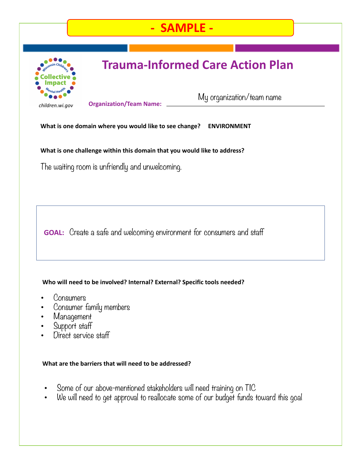## **- SAMPLE -**



# **Trauma-Informed Care Action Plan**

*children.wi.gov* **Organization/Team Name:**

My organization/team name

**What is one domain where you would like to see change? ENVIRONMENT**

**What is one challenge within this domain that you would like to address?**

The waiting room is unfriendly and unwelcoming.

**GOAL:** Create a safe and welcoming environment for consumers and staff

### **Who will need to be involved? Internal? External? Specific tools needed?**

- Consumers
- Consumer family members
- Management
- Support staff
- Direct service staff

#### **What are the barriers that will need to be addressed?**

- Some of our above-mentioned stakeholders will need training on TIC
- We will need to get approval to reallocate some of our budget funds toward this goal